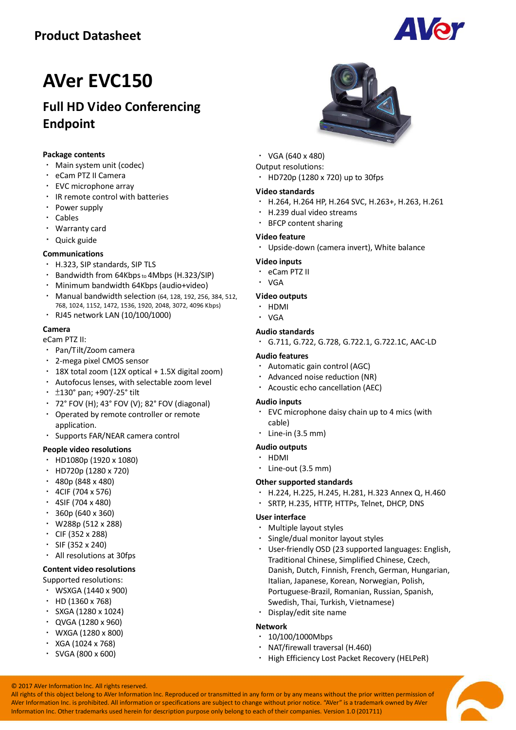### **Product Datasheet**



# **AVer EVC150**

### **Full HD Video Conferencing Endpoint**

#### **Package contents**

- Main system unit (codec)
- eCam PTZ II Camera
- EVC microphone array
- IR remote control with batteries
- Power supply
- Cables
- Warranty card
- Quick guide

#### **Communications**

- H.323, SIP standards, SIP TLS
- Bandwidth from 64Kbps to 4Mbps (H.323/SIP)
- Minimum bandwidth 64Kbps (audio+video)
- Manual bandwidth selection (64, 128, 192, 256, 384, 512, 768, 1024, 1152, 1472, 1536, 1920, 2048, 3072, 4096 Kbps)
- RJ45 network LAN (10/100/1000)

#### **Camera**

eCam PTZ II:

- Pan/Tilt/Zoom camera
- 2-mega pixel CMOS sensor
- 18X total zoom (12X optical + 1.5X digital zoom)
- Autofocus lenses, with selectable zoom level
- $\cdot$  ±130° pan; +90°/-25° tilt
- 72° FOV (H); 43° FOV (V); 82° FOV (diagonal)
- Operated by remote controller or remote application.
- Supports FAR/NEAR camera control

#### **People video resolutions**

- HD1080p (1920 x 1080)
- HD720p (1280 x 720)
- 480p (848 x 480)
- $\cdot$  4CIF (704 x 576)
- $\cdot$  4SIF (704 x 480)
- $\cdot$  360p (640 x 360)
- W288p (512 x 288)
- CIF (352 x 288)
- SIF (352 x 240)
- All resolutions at 30fps

#### **Content video resolutions**

Supported resolutions:

- WSXGA (1440 x 900)
- $\cdot$  HD (1360 x 768)
- SXGA (1280 x 1024)
- QVGA (1280 x 960)
- WXGA (1280 x 800)
- $\cdot$  XGA (1024 x 768)
- $\cdot$  SVGA (800 x 600)



- $\cdot$  VGA (640 x 480)
- Output resolutions:
- HD720p (1280 x 720) up to 30fps

#### **Video standards**

- H.264, H.264 HP, H.264 SVC, H.263+, H.263, H.261
- H.239 dual video streams
- BFCP content sharing

#### **Video feature**

Upside-down (camera invert), White balance

#### **Video inputs**

- eCam PTZ II
- VGA

#### **Video outputs**

- · HDMI
- VGA

#### **Audio standards**

G.711, G.722, G.728, G.722.1, G.722.1C, AAC-LD

#### **Audio features**

- Automatic gain control (AGC)
- Advanced noise reduction (NR)
- Acoustic echo cancellation (AEC)

#### **Audio inputs**

- EVC microphone daisy chain up to 4 mics (with cable)
- $\cdot$  Line-in (3.5 mm)

#### **Audio outputs**

- HDMI
- Line-out (3.5 mm)

#### **Other supported standards**

- H.224, H.225, H.245, H.281, H.323 Annex Q, H.460
- SRTP, H.235, HTTP, HTTPs, Telnet, DHCP, DNS

#### **User interface**

- Multiple layout styles
- Single/dual monitor layout styles
- User-friendly OSD (23 supported languages: English, Traditional Chinese, Simplified Chinese, Czech, Danish, Dutch, Finnish, French, German, Hungarian, Italian, Japanese, Korean, Norwegian, Polish, Portuguese-Brazil, Romanian, Russian, Spanish, Swedish, Thai, Turkish, Vietnamese)
- Display/edit site name

#### **Network**

- $\cdot$  10/100/1000Mbps
- NAT/firewall traversal (H.460)
- High Efficiency Lost Packet Recovery (HELPeR)

© 2017 AVer Information Inc. All rights reserved. All rights of this object belong to AVer Information Inc. Reproduced or transmitted in any form or by any means without the prior written permission of AVer Information Inc. is prohibited. All information or specifications are subject to change without prior notice. "AVer" is a trademark owned by AVer Information Inc. Other trademarks used herein for description purpose only belong to each of their companies. Version 1.0 (201711)

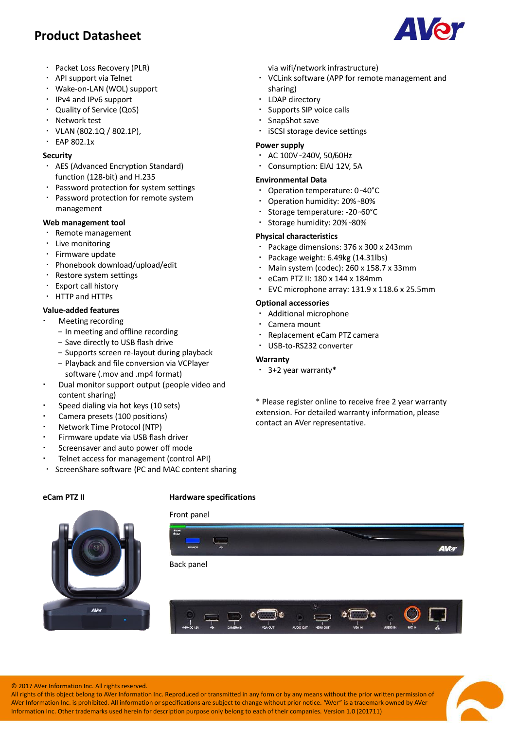### **Product Datasheet**

- Packet Loss Recovery (PLR)
- API support via Telnet
- Wake-on-LAN (WOL) support
- IPv4 and IPv6 support
- Quality of Service (QoS)
- Network test
- $VLAN (802.1Q / 802.1P)$
- EAP 802.1x

#### **Security**

- AES (Advanced Encryption Standard) function (128-bit) and H.235
- Password protection for system settings
- Password protection for remote system management

#### **Web management tool**

- Remote management
- Live monitoring
- Firmware update
- Phonebook download/upload/edit
- Restore system settings
- Export call history
- HTTP and HTTPs

#### **Value-added features**

- Meeting recording
	- In meeting and offline recording
	- Save directly to USB flash drive
	- Supports screen re-layout during playback
	- Playback and file conversion via VCPlayer software (.mov and .mp4 format)
- Dual monitor support output (people video and content sharing)
- Speed dialing via hot keys (10 sets)
- Camera presets (100 positions)
- Network Time Protocol (NTP)
- Firmware update via USB flash driver
- Screensaver and auto power off mode
- Telnet access for management (control API)
- ScreenShare software (PC and MAC content sharing

#### **eCam PTZ II Hardware specifications**

#### Front panel



via wifi/network infrastructure)

- VCLink software (APP for remote management and sharing)
- LDAP directory
- Supports SIP voice calls
- SnapShot save
- iSCSI storage device settings

#### **Power supply**

- AC 100V <sup>~</sup>240V, 50/60Hz
- Consumption: EIAJ 12V, 5A

#### **Environmental Data**

- Operation temperature: 0 <sup>~</sup>40°C
- Operation humidity: 20% <sup>~</sup>80%
- Storage temperature: -20 <sup>~</sup>60°C
- Storage humidity: 20% <sup>~</sup>80%

#### **Physical characteristics**

- Package dimensions: 376 x 300 x 243mm
- Package weight: 6.49kg (14.31lbs)
- Main system (codec): 260 x 158.7 x 33mm
- eCam PTZ II: 180 x 144 x 184mm
- EVC microphone array: 131.9 x 118.6 x 25.5mm

#### **Optional accessories**

- Additional microphone
- Camera mount
- Replacement eCam PTZ camera
- USB-to-RS232 converter

#### **Warranty**

3+2 year warranty\*

\* Please register online to receive free 2 year warranty extension. For detailed warranty information, please contact an AVer representative.

© 2017 AVer Information Inc. All rights reserved.

**AV<sub>C</sub>** 

All rights of this object belong to AVer Information Inc. Reproduced or transmitted in any form or by any means without the prior written permission of AVer Information Inc. is prohibited. All information or specifications are subject to change without prior notice. "AVer" is a trademark owned by AVer Information Inc. Other trademarks used herein for description purpose only belong to each of their companies. Version 1.0 (201711)